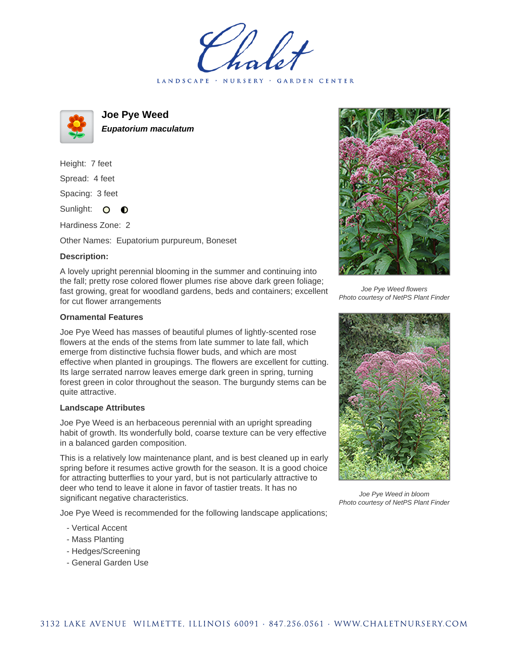LANDSCAPE · NURSERY · GARDEN CENTER



**Joe Pye Weed Eupatorium maculatum**

Height: 7 feet Spread: 4 feet Spacing: 3 feet Sunlight: O O

Hardiness Zone: 2

Other Names: Eupatorium purpureum, Boneset

## **Description:**

A lovely upright perennial blooming in the summer and continuing into the fall; pretty rose colored flower plumes rise above dark green foliage; fast growing, great for woodland gardens, beds and containers; excellent for cut flower arrangements

## **Ornamental Features**

Joe Pye Weed has masses of beautiful plumes of lightly-scented rose flowers at the ends of the stems from late summer to late fall, which emerge from distinctive fuchsia flower buds, and which are most effective when planted in groupings. The flowers are excellent for cutting. Its large serrated narrow leaves emerge dark green in spring, turning forest green in color throughout the season. The burgundy stems can be quite attractive.

## **Landscape Attributes**

Joe Pye Weed is an herbaceous perennial with an upright spreading habit of growth. Its wonderfully bold, coarse texture can be very effective in a balanced garden composition.

This is a relatively low maintenance plant, and is best cleaned up in early spring before it resumes active growth for the season. It is a good choice for attracting butterflies to your yard, but is not particularly attractive to deer who tend to leave it alone in favor of tastier treats. It has no significant negative characteristics.

Joe Pye Weed is recommended for the following landscape applications;

- Vertical Accent
- Mass Planting
- Hedges/Screening
- General Garden Use



Joe Pye Weed flowers Photo courtesy of NetPS Plant Finder



Joe Pye Weed in bloom Photo courtesy of NetPS Plant Finder